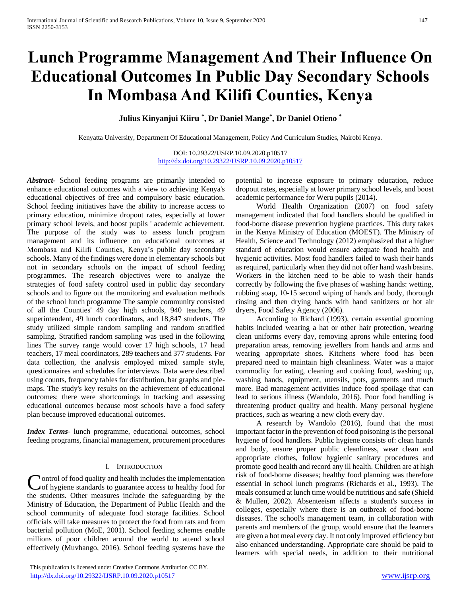# **Lunch Programme Management And Their Influence On Educational Outcomes In Public Day Secondary Schools In Mombasa And Kilifi Counties, Kenya**

**Julius Kinyanjui Kiiru \* , Dr Daniel Mange\* , Dr Daniel Otieno \***

Kenyatta University, Department Of Educational Management, Policy And Curriculum Studies, Nairobi Kenya.

DOI: 10.29322/IJSRP.10.09.2020.p10517 <http://dx.doi.org/10.29322/IJSRP.10.09.2020.p10517>

*Abstract***-** School feeding programs are primarily intended to enhance educational outcomes with a view to achieving Kenya's educational objectives of free and compulsory basic education. School feeding initiatives have the ability to increase access to primary education, minimize dropout rates, especially at lower primary school levels, and boost pupils ' academic achievement. The purpose of the study was to assess lunch program management and its influence on educational outcomes at Mombasa and Kilifi Counties, Kenya's public day secondary schools. Many of the findings were done in elementary schools but not in secondary schools on the impact of school feeding programmes. The research objectives were to analyze the strategies of food safety control used in public day secondary schools and to figure out the monitoring and evaluation methods of the school lunch programme The sample community consisted of all the Counties' 49 day high schools, 940 teachers, 49 superintendent, 49 lunch coordinators, and 18,847 students. The study utilized simple random sampling and random stratified sampling. Stratified random sampling was used in the following lines The survey range would cover 17 high schools, 17 head teachers, 17 meal coordinators, 289 teachers and 377 students. For data collection, the analysis employed mixed sample style, questionnaires and schedules for interviews. Data were described using counts, frequency tables for distribution, bar graphs and piemaps. The study's key results on the achievement of educational outcomes; there were shortcomings in tracking and assessing educational outcomes because most schools have a food safety plan because improved educational outcomes.

*Index Terms*- lunch programme, educational outcomes, school feeding programs, financial management, procurement procedures

## I. INTRODUCTION

ontrol of food quality and health includes the implementation Control of food quality and health includes the implementation<br>
of hygiene standards to guarantee access to healthy food for the students. Other measures include the safeguarding by the Ministry of Education, the Department of Public Health and the school community of adequate food storage facilities. School officials will take measures to protect the food from rats and from bacterial pollution (MoE, 2001). School feeding schemes enable millions of poor children around the world to attend school effectively (Muvhango, 2016). School feeding systems have the

 This publication is licensed under Creative Commons Attribution CC BY. <http://dx.doi.org/10.29322/IJSRP.10.09.2020.p10517> [www.ijsrp.org](http://ijsrp.org/)

potential to increase exposure to primary education, reduce dropout rates, especially at lower primary school levels, and boost academic performance for Weru pupils (2014).

 World Health Organization (2007) on food safety management indicated that food handlers should be qualified in food-borne disease prevention hygiene practices. This duty takes in the Kenya Ministry of Education (MOEST). The Ministry of Health, Science and Technology (2012) emphasized that a higher standard of education would ensure adequate food health and hygienic activities. Most food handlers failed to wash their hands as required, particularly when they did not offer hand wash basins. Workers in the kitchen need to be able to wash their hands correctly by following the five phases of washing hands: wetting, rubbing soap, 10-15 second wiping of hands and body, thorough rinsing and then drying hands with hand sanitizers or hot air dryers, Food Safety Agency (2006).

 According to Richard (1993), certain essential grooming habits included wearing a hat or other hair protection, wearing clean uniforms every day, removing aprons while entering food preparation areas, removing jewellers from hands and arms and wearing appropriate shoes. Kitchens where food has been prepared need to maintain high cleanliness. Water was a major commodity for eating, cleaning and cooking food, washing up, washing hands, equipment, utensils, pots, garments and much more. Bad management activities induce food spoilage that can lead to serious illness (Wandolo, 2016). Poor food handling is threatening product quality and health. Many personal hygiene practices, such as wearing a new cloth every day.

 A research by Wandolo (2016), found that the most important factor in the prevention of food poisoning is the personal hygiene of food handlers. Public hygiene consists of: clean hands and body, ensure proper public cleanliness, wear clean and appropriate clothes, follow hygienic sanitary procedures and promote good health and record any ill health. Children are at high risk of food-borne diseases; healthy food planning was therefore essential in school lunch programs (Richards et al., 1993). The meals consumed at lunch time would be nutritious and safe (Shield & Mullen, 2002). Absenteeism affects a student's success in colleges, especially where there is an outbreak of food-borne diseases. The school's management team, in collaboration with parents and members of the group, would ensure that the learners are given a hot meal every day. It not only improved efficiency but also enhanced understanding. Appropriate care should be paid to learners with special needs, in addition to their nutritional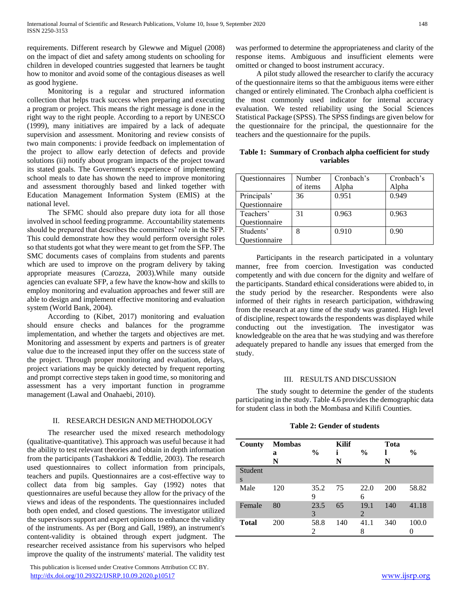requirements. Different research by Glewwe and Miguel (2008) on the impact of diet and safety among students on schooling for children in developed countries suggested that learners be taught how to monitor and avoid some of the contagious diseases as well as good hygiene.

 Monitoring is a regular and structured information collection that helps track success when preparing and executing a program or project. This means the right message is done in the right way to the right people. According to a report by UNESCO (1999), many initiatives are impaired by a lack of adequate supervision and assessment. Monitoring and review consists of two main components: i provide feedback on implementation of the project to allow early detection of defects and provide solutions (ii) notify about program impacts of the project toward its stated goals. The Government's experience of implementing school meals to date has shown the need to improve monitoring and assessment thoroughly based and linked together with Education Management Information System (EMIS) at the national level.

 The SFMC should also prepare duty iota for all those involved in school feeding programme. Accountability statements should be prepared that describes the committees' role in the SFP. This could demonstrate how they would perform oversight roles so that students got what they were meant to get from the SFP. The SMC documents cases of complains from students and parents which are used to improve on the program delivery by taking appropriate measures (Carozza, 2003).While many outside agencies can evaluate SFP, a few have the know-how and skills to employ monitoring and evaluation approaches and fewer still are able to design and implement effective monitoring and evaluation system (World Bank, 2004).

 According to (Kibet, 2017) monitoring and evaluation should ensure checks and balances for the programme implementation, and whether the targets and objectives are met. Monitoring and assessment by experts and partners is of greater value due to the increased input they offer on the success state of the project. Through proper monitoring and evaluation, delays, project variations may be quickly detected by frequent reporting and prompt corrective steps taken in good time, so monitoring and assessment has a very important function in programme management (Lawal and Onahaebi, 2010).

## II. RESEARCH DESIGN AND METHODOLOGY

 The researcher used the mixed research methodology (qualitative-quantitative). This approach was useful because it had the ability to test relevant theories and obtain in depth information from the participants (Tashakkori & Teddlie, 2003). The research used questionnaires to collect information from principals, teachers and pupils. Questionnaires are a cost-effective way to collect data from big samples. Gay (1992) notes that questionnaires are useful because they allow for the privacy of the views and ideas of the respondents. The questionnaires included both open ended, and closed questions. The investigator utilized the supervisors support and expert opinions to enhance the validity of the instruments. As per (Borg and Gall, 1989), an instrument's content-validity is obtained through expert judgment. The researcher received assistance from his supervisors who helped improve the quality of the instruments' material. The validity test

 This publication is licensed under Creative Commons Attribution CC BY. <http://dx.doi.org/10.29322/IJSRP.10.09.2020.p10517> [www.ijsrp.org](http://ijsrp.org/)

was performed to determine the appropriateness and clarity of the response items. Ambiguous and insufficient elements were omitted or changed to boost instrument accuracy.

 A pilot study allowed the researcher to clarify the accuracy of the questionnaire items so that the ambiguous items were either changed or entirely eliminated. The Cronbach alpha coefficient is the most commonly used indicator for internal accuracy evaluation. We tested reliability using the Social Sciences Statistical Package (SPSS). The SPSS findings are given below for the questionnaire for the principal, the questionnaire for the teachers and the questionnaire for the pupils.

**Table 1: Summary of Cronbach alpha coefficient for study variables**

| Questionnaires | Number   | Cronbach's | Cronbach's |
|----------------|----------|------------|------------|
|                | of items | Alpha      | Alpha      |
| Principals'    | 36       | 0.951      | 0.949      |
| Questionnaire  |          |            |            |
| Teachers'      | 31       | 0.963      | 0.963      |
| Questionnaire  |          |            |            |
| Students'      | 8        | 0.910      | 0.90       |
| Questionnaire  |          |            |            |

 Participants in the research participated in a voluntary manner, free from coercion. Investigation was conducted competently and with due concern for the dignity and welfare of the participants. Standard ethical considerations were abided to, in the study period by the researcher. Respondents were also informed of their rights in research participation, withdrawing from the research at any time of the study was granted. High level of discipline, respect towards the respondents was displayed while conducting out the investigation. The investigator was knowledgeable on the area that he was studying and was therefore adequately prepared to handle any issues that emerged from the study.

## III. RESULTS AND DISCUSSION

 The study sought to determine the gender of the students participating in the study. Table 4.6 provides the demographic data for student class in both the Mombasa and Kilifi Counties.

**Table 2: Gender of students**

| County       | <b>Mombas</b><br>a<br>N | $\frac{0}{0}$          | <b>Kilif</b><br>i<br>N | $\frac{0}{0}$ | Tota<br>N | $\frac{6}{9}$ |
|--------------|-------------------------|------------------------|------------------------|---------------|-----------|---------------|
| Student      |                         |                        |                        |               |           |               |
| S            |                         |                        |                        |               |           |               |
| Male         | 120                     | 35.2<br>9              | 75                     | 22.0<br>6     | 200       | 58.82         |
| Female       | 80                      | 23.5<br>3              | 65                     | 19.1<br>2     | 140       | 41.18         |
| <b>Total</b> | 200                     | 58.8<br>$\mathfrak{D}$ | 140                    | 41.1<br>8     | 340       | 100.0         |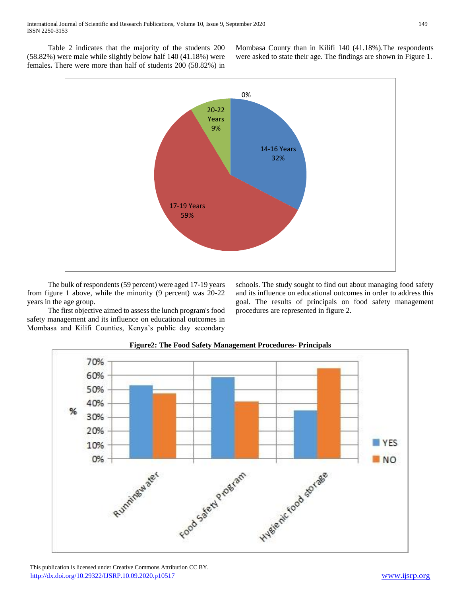Table 2 indicates that the majority of the students 200 (58.82%) were male while slightly below half 140 (41.18%) were females**.** There were more than half of students 200 (58.82%) in

Mombasa County than in Kilifi 140 (41.18%).The respondents were asked to state their age. The findings are shown in Figure 1.



 The bulk of respondents (59 percent) were aged 17-19 years from figure 1 above, while the minority (9 percent) was 20-22 years in the age group.

 The first objective aimed to assess the lunch program's food safety management and its influence on educational outcomes in Mombasa and Kilifi Counties, Kenya's public day secondary schools. The study sought to find out about managing food safety and its influence on educational outcomes in order to address this goal. The results of principals on food safety management procedures are represented in figure 2.



# **Figure2: The Food Safety Management Procedures- Principals**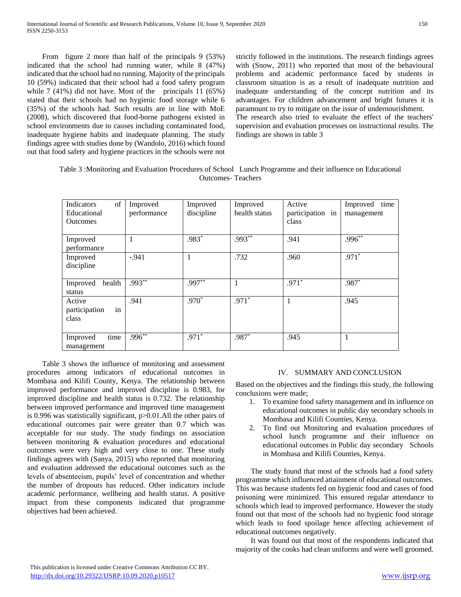From figure 2 more than half of the principals 9 (53%) indicated that the school had running water, while 8 (47%) indicated that the school had no running. Majority of the principals 10 (59%) indicated that their school had a food safety program while 7 (41%) did not have. Most of the principals 11 (65%) stated that their schools had no hygienic food storage while 6 (35%) of the schools had. Such results are in line with MoE (2008), which discovered that food-borne pathogens existed in school environments due to causes including contaminated food, inadequate hygiene habits and inadequate planning. The study findings agree with studies done by (Wandolo, 2016) which found out that food safety and hygiene practices in the schools were not strictly followed in the institutions. The research findings agrees with (Snow, 2011) who reported that most of the behavioural problems and academic performance faced by students in classroom situation is as a result of inadequate nutrition and inadequate understanding of the concept nutrition and its advantages. For children advancement and bright futures it is paramount to try to mitigate on the issue of undernourishment. The research also tried to evaluate the effect of the teachers' supervision and evaluation processes on instructional results. The findings are shown in table 3

Table 3 :Monitoring and Evaluation Procedures of School Lunch Programme and their influence on Educational Outcomes- Teachers

| of<br>Indicators<br>Educational<br><b>Outcomes</b> | Improved<br>performance | Improved<br>discipline | Improved<br>health status | Active<br>participation in<br>class | time<br>Improved<br>management |
|----------------------------------------------------|-------------------------|------------------------|---------------------------|-------------------------------------|--------------------------------|
| Improved<br>performance                            |                         | .983*                  | $.993***$                 | .941                                | $.996***$                      |
| Improved<br>discipline                             | $-.941$                 |                        | .732                      | .960                                | $.971*$                        |
| health<br>Improved<br>status                       | $.993***$               | $.997**$               | $\mathbf{1}$              | $.971*$                             | .987*                          |
| Active<br>in<br>participation<br>class             | .941                    | $.970*$                | $.971*$                   | 1                                   | .945                           |
| time<br>Improved<br>management                     | $.996**$                | $.971*$                | .987*                     | .945                                | 1                              |

 Table 3 shows the influence of monitoring and assessment procedures among indicators of educational outcomes in Mombasa and Kilifi County, Kenya. The relationship between improved performance and improved discipline is 0.983, for improved discipline and health status is 0.732. The relationship between improved performance and improved time management is 0.996 was statistically significant, p>0.01.All the other pairs of educational outcomes pair were greater than 0.7 which was acceptable for our study. The study findings on association between monitoring & evaluation procedures and educational outcomes were very high and very close to one. These study findings agrees with (Sanya, 2015) who reported that monitoring and evaluation addressed the educational outcomes such as the levels of absenteeism, pupils' level of concentration and whether the number of dropouts has reduced. Other indicators include academic performance, wellbeing and health status. A positive impact from these components indicated that programme objectives had been achieved.

# IV. SUMMARY AND CONCLUSION

Based on the objectives and the findings this study, the following conclusions were made;

- 1. To examine food safety management and its influence on educational outcomes in public day secondary schools in Mombasa and Kilifi Counties, Kenya.
- 2. To find out Monitoring and evaluation procedures of school lunch programme and their influence on educational outcomes in Public day secondary Schools in Mombasa and Kilifi Counties, Kenya.

 The study found that most of the schools had a food safety programme which influenced attainment of educational outcomes. This was because students fed on hygienic food and cases of food poisoning were minimized. This ensured regular attendance to schools which lead to improved performance. However the study found out that most of the schools had no hygienic food storage which leads to food spoilage hence affecting achievement of educational outcomes negatively.

 It was found out that most of the respondents indicated that majority of the cooks had clean uniforms and were well groomed.